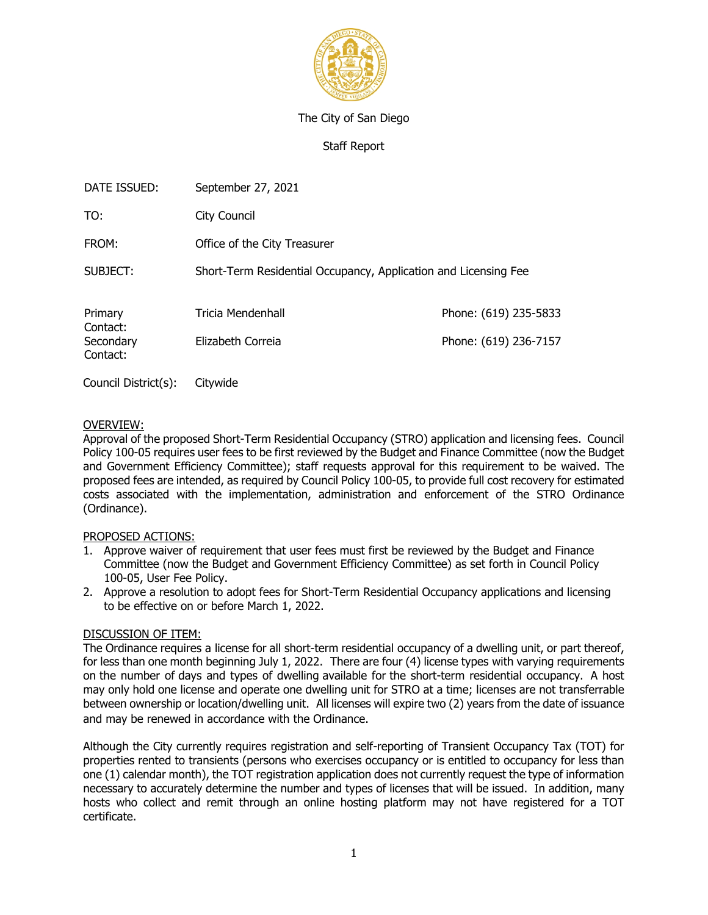

## The City of San Diego

Staff Report

| DATE ISSUED:          | September 27, 2021                                              |                       |  |  |  |  |
|-----------------------|-----------------------------------------------------------------|-----------------------|--|--|--|--|
| TO:                   | City Council                                                    |                       |  |  |  |  |
| FROM:                 | Office of the City Treasurer                                    |                       |  |  |  |  |
| SUBJECT:              | Short-Term Residential Occupancy, Application and Licensing Fee |                       |  |  |  |  |
| Primary<br>Contact:   | Tricia Mendenhall                                               | Phone: (619) 235-5833 |  |  |  |  |
| Secondary<br>Contact: | Elizabeth Correia                                               | Phone: (619) 236-7157 |  |  |  |  |

Council District(s): Citywide

## OVERVIEW:

Approval of the proposed Short-Term Residential Occupancy (STRO) application and licensing fees. Council Policy 100-05 requires user fees to be first reviewed by the Budget and Finance Committee (now the Budget and Government Efficiency Committee); staff requests approval for this requirement to be waived. The proposed fees are intended, as required by Council Policy 100-05, to provide full cost recovery for estimated costs associated with the implementation, administration and enforcement of the STRO Ordinance (Ordinance).

## PROPOSED ACTIONS:

- 1. Approve waiver of requirement that user fees must first be reviewed by the Budget and Finance Committee (now the Budget and Government Efficiency Committee) as set forth in Council Policy 100-05, User Fee Policy.
- 2. Approve a resolution to adopt fees for Short-Term Residential Occupancy applications and licensing to be effective on or before March 1, 2022.

## DISCUSSION OF ITEM:

The Ordinance requires a license for all short-term residential occupancy of a dwelling unit, or part thereof, for less than one month beginning July 1, 2022. There are four (4) license types with varying requirements on the number of days and types of dwelling available for the short-term residential occupancy. A host may only hold one license and operate one dwelling unit for STRO at a time; licenses are not transferrable between ownership or location/dwelling unit. All licenses will expire two (2) years from the date of issuance and may be renewed in accordance with the Ordinance.

Although the City currently requires registration and self-reporting of Transient Occupancy Tax (TOT) for properties rented to transients (persons who exercises occupancy or is entitled to occupancy for less than one (1) calendar month), the TOT registration application does not currently request the type of information necessary to accurately determine the number and types of licenses that will be issued. In addition, many hosts who collect and remit through an online hosting platform may not have registered for a TOT certificate.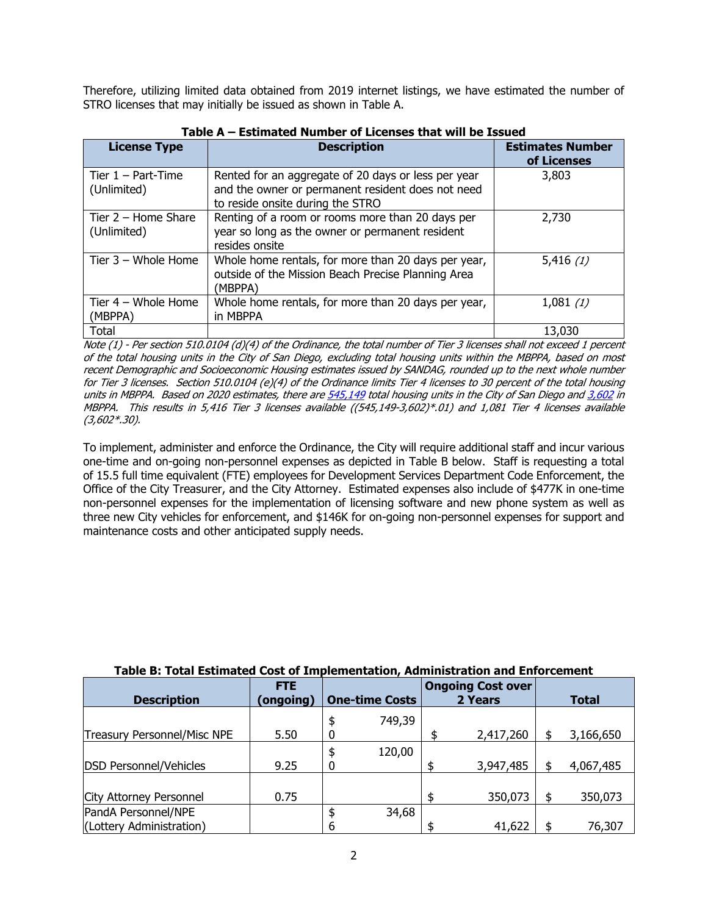Therefore, utilizing limited data obtained from 2019 internet listings, we have estimated the number of STRO licenses that may initially be issued as shown in Table A.

| <b>License Type</b>                  | <b>Description</b>                                                                                                                           | <b>Estimates Number</b><br>of Licenses |  |  |  |  |  |
|--------------------------------------|----------------------------------------------------------------------------------------------------------------------------------------------|----------------------------------------|--|--|--|--|--|
| Tier $1 - Part$ -Time<br>(Unlimited) | Rented for an aggregate of 20 days or less per year<br>and the owner or permanent resident does not need<br>to reside onsite during the STRO | 3,803                                  |  |  |  |  |  |
| Tier $2 -$ Home Share<br>(Unlimited) | Renting of a room or rooms more than 20 days per<br>year so long as the owner or permanent resident<br>resides onsite                        | 2,730                                  |  |  |  |  |  |
| Tier $3 -$ Whole Home                | Whole home rentals, for more than 20 days per year,<br>outside of the Mission Beach Precise Planning Area<br>(MBPPA)                         | 5,416(1)                               |  |  |  |  |  |
| Tier $4 -$ Whole Home<br>(MBPPA)     | Whole home rentals, for more than 20 days per year,<br>in MBPPA                                                                              | 1,081(1)                               |  |  |  |  |  |
| Total                                |                                                                                                                                              | 13,030                                 |  |  |  |  |  |

# **Table A – Estimated Number of Licenses that will be Issued**

*Note (1) - Per section 510.0104 (d)(4) of the Ordinance, the total number of Tier 3 licenses shall not exceed 1 percent of the total housing units in the City of San Diego, excluding total housing units within the MBPPA, based on most recent Demographic and Socioeconomic Housing estimates issued by SANDAG, rounded up to the next whole number for Tier 3 licenses. Section 510.0104 (e)(4) of the Ordinance limits Tier 4 licenses to 30 percent of the total housing units in MBPPA. Based on 2020 estimates, there are [545,149](https://datasurfer.sandag.org/download/sandag_estimate_2020_jurisdiction_san-diego.pdf) total housing units in the City of San Diego and [3,602](https://datasurfer.sandag.org/download/sandag_estimate_2020_cpa_mission-beach.pdf) in MBPPA. This results in 5,416 Tier 3 licenses available ((545,149-3,602)\*.01) and 1,081 Tier 4 licenses available (3,602\*.30).* 

To implement, administer and enforce the Ordinance, the City will require additional staff and incur various one-time and on-going non-personnel expenses as depicted in Table B below. Staff is requesting a total of 15.5 full time equivalent (FTE) employees for Development Services Department Code Enforcement, the Office of the City Treasurer, and the City Attorney. Estimated expenses also include of \$477K in one-time non-personnel expenses for the implementation of licensing software and new phone system as well as three new City vehicles for enforcement, and \$146K for on-going non-personnel expenses for support and maintenance costs and other anticipated supply needs.

| Table B: Total Estimated Cost of Implementation, Administration and Enforcement |                                    |   |         |  |                          |  |           |
|---------------------------------------------------------------------------------|------------------------------------|---|---------|--|--------------------------|--|-----------|
|                                                                                 | <b>FTE</b>                         |   |         |  | <b>Ongoing Cost over</b> |  |           |
| <b>Description</b>                                                              | (ongoing)<br><b>One-time Costs</b> |   | 2 Years |  | <b>Total</b>             |  |           |
|                                                                                 |                                    |   | 749,39  |  |                          |  |           |
| <b>Treasury Personnel/Misc NPE</b>                                              | 5.50                               |   |         |  | 2,417,260                |  | 3,166,650 |
|                                                                                 |                                    |   | 120,00  |  |                          |  |           |
| <b>DSD Personnel/Vehicles</b>                                                   | 9.25                               |   |         |  | 3,947,485                |  | 4,067,485 |
|                                                                                 |                                    |   |         |  |                          |  |           |
| City Attorney Personnel                                                         | 0.75                               |   |         |  | 350,073                  |  | 350,073   |
| PandA Personnel/NPE                                                             |                                    |   | 34,68   |  |                          |  |           |
| (Lottery Administration)                                                        |                                    | 6 |         |  | 41,622                   |  | 76,307    |

# **Table B: Total Estimated Cost of Implementation, Administration and Enforcement**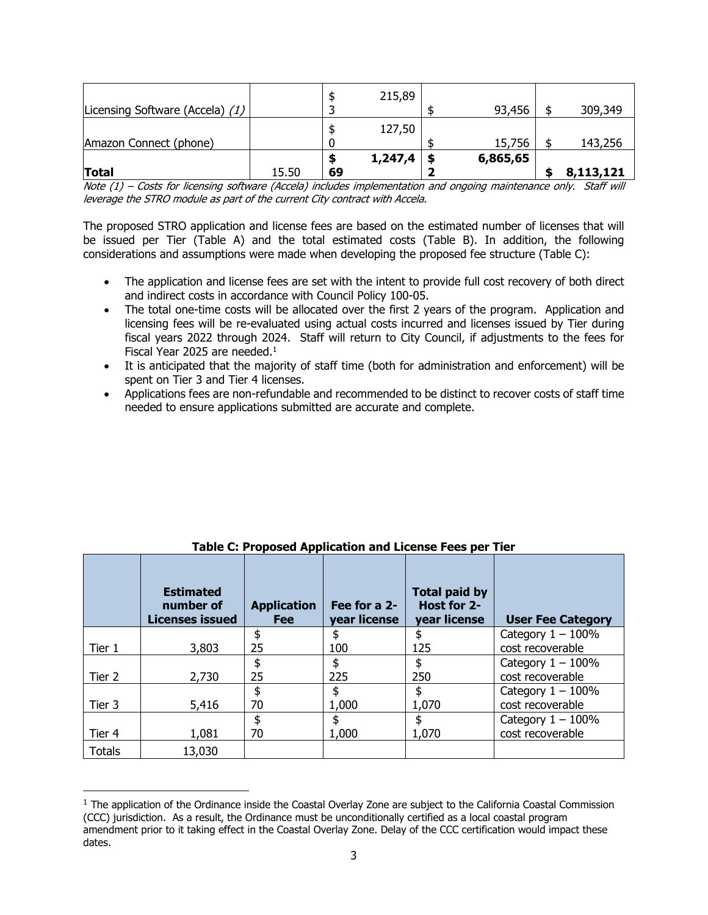| Amazon Connect (phone) | 127,50  | 15,756   | 143,256 |
|------------------------|---------|----------|---------|
|                        | 1,247,4 | 6,865,65 |         |

*Note (1) – Costs for licensing software (Accela) includes implementation and ongoing maintenance only. Staff will leverage the STRO module as part of the current City contract with Accela.*

The proposed STRO application and license fees are based on the estimated number of licenses that will be issued per Tier (Table A) and the total estimated costs (Table B). In addition, the following considerations and assumptions were made when developing the proposed fee structure (Table C):

- The application and license fees are set with the intent to provide full cost recovery of both direct and indirect costs in accordance with Council Policy 100-05.
- The total one-time costs will be allocated over the first 2 years of the program. Application and licensing fees will be re-evaluated using actual costs incurred and licenses issued by Tier during fiscal years 2022 through 2024. Staff will return to City Council, if adjustments to the fees for Fiscal Year 2025 are needed. $1$
- It is anticipated that the majority of staff time (both for administration and enforcement) will be spent on Tier 3 and Tier 4 licenses.
- Applications fees are non-refundable and recommended to be distinct to recover costs of staff time needed to ensure applications submitted are accurate and complete.

|               | <b>Estimated</b><br>number of<br><b>Licenses issued</b> | <b>Application</b><br><b>Fee</b> | Fee for a 2-<br>year license | <b>Total paid by</b><br>Host for 2-<br><b>year license</b> | <b>User Fee Category</b> |
|---------------|---------------------------------------------------------|----------------------------------|------------------------------|------------------------------------------------------------|--------------------------|
|               |                                                         | \$                               | \$                           | \$                                                         | Category $1 - 100\%$     |
| Tier 1        | 3,803                                                   | 25                               | 100                          | 125                                                        | cost recoverable         |
|               |                                                         | \$                               | \$                           | \$                                                         | Category $1 - 100\%$     |
| Tier 2        | 2,730                                                   | 25                               | 225                          | 250                                                        | cost recoverable         |
|               |                                                         | \$                               | \$                           | \$                                                         | Category $1 - 100\%$     |
| Tier 3        | 5,416                                                   | 70                               | 1,000                        | 1,070                                                      | cost recoverable         |
|               |                                                         | \$                               | \$                           | \$                                                         | Category $1 - 100\%$     |
| Tier 4        | 1,081                                                   | 70                               | 1,000                        | 1,070                                                      | cost recoverable         |
| <b>Totals</b> | 13,030                                                  |                                  |                              |                                                            |                          |

**Table C: Proposed Application and License Fees per Tier**

 $1$  The application of the Ordinance inside the Coastal Overlay Zone are subject to the California Coastal Commission (CCC) jurisdiction. As a result, the Ordinance must be unconditionally certified as a local coastal program amendment prior to it taking effect in the Coastal Overlay Zone. Delay of the CCC certification would impact these dates.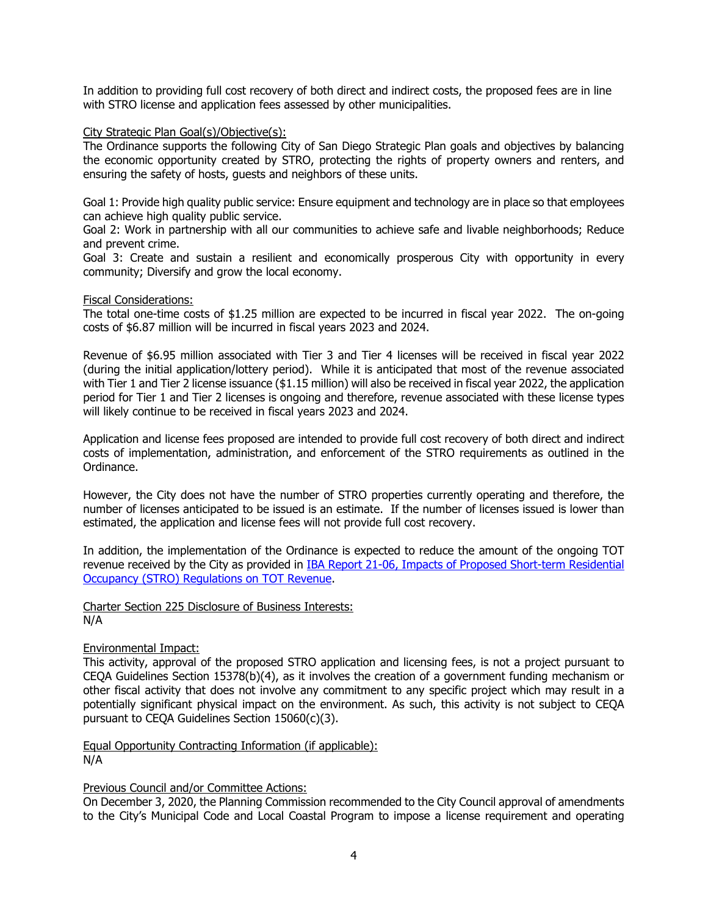In addition to providing full cost recovery of both direct and indirect costs, the proposed fees are in line with STRO license and application fees assessed by other municipalities.

### City Strategic Plan Goal(s)/Objective(s):

The Ordinance supports the following City of San Diego Strategic Plan goals and objectives by balancing the economic opportunity created by STRO, protecting the rights of property owners and renters, and ensuring the safety of hosts, guests and neighbors of these units.

Goal 1: Provide high quality public service: Ensure equipment and technology are in place so that employees can achieve high quality public service.

Goal 2: Work in partnership with all our communities to achieve safe and livable neighborhoods; Reduce and prevent crime.

Goal 3: Create and sustain a resilient and economically prosperous City with opportunity in every community; Diversify and grow the local economy.

#### Fiscal Considerations:

The total one-time costs of \$1.25 million are expected to be incurred in fiscal year 2022. The on-going costs of \$6.87 million will be incurred in fiscal years 2023 and 2024.

Revenue of \$6.95 million associated with Tier 3 and Tier 4 licenses will be received in fiscal year 2022 (during the initial application/lottery period). While it is anticipated that most of the revenue associated with Tier 1 and Tier 2 license issuance (\$1.15 million) will also be received in fiscal year 2022, the application period for Tier 1 and Tier 2 licenses is ongoing and therefore, revenue associated with these license types will likely continue to be received in fiscal years 2023 and 2024.

Application and license fees proposed are intended to provide full cost recovery of both direct and indirect costs of implementation, administration, and enforcement of the STRO requirements as outlined in the Ordinance.

However, the City does not have the number of STRO properties currently operating and therefore, the number of licenses anticipated to be issued is an estimate. If the number of licenses issued is lower than estimated, the application and license fees will not provide full cost recovery.

In addition, the implementation of the Ordinance is expected to reduce the amount of the ongoing TOT revenue received by the City as provided in [IBA Report 21-06, Impacts of Proposed Short-term Residential](https://www.sandiego.gov/sites/default/files/21-06_impacts_of_proposed_stro_regulations_on_tot_revneue.pdf)  [Occupancy \(STRO\) Regulations on TOT Revenue.](https://www.sandiego.gov/sites/default/files/21-06_impacts_of_proposed_stro_regulations_on_tot_revneue.pdf)

Charter Section 225 Disclosure of Business Interests: N/A

## Environmental Impact:

This activity, approval of the proposed STRO application and licensing fees, is not a project pursuant to CEQA Guidelines Section 15378(b)(4), as it involves the creation of a government funding mechanism or other fiscal activity that does not involve any commitment to any specific project which may result in a potentially significant physical impact on the environment. As such, this activity is not subject to CEQA pursuant to CEQA Guidelines Section 15060(c)(3).

Equal Opportunity Contracting Information (if applicable): N/A

# Previous Council and/or Committee Actions:

On December 3, 2020, the Planning Commission recommended to the City Council approval of amendments to the City's Municipal Code and Local Coastal Program to impose a license requirement and operating